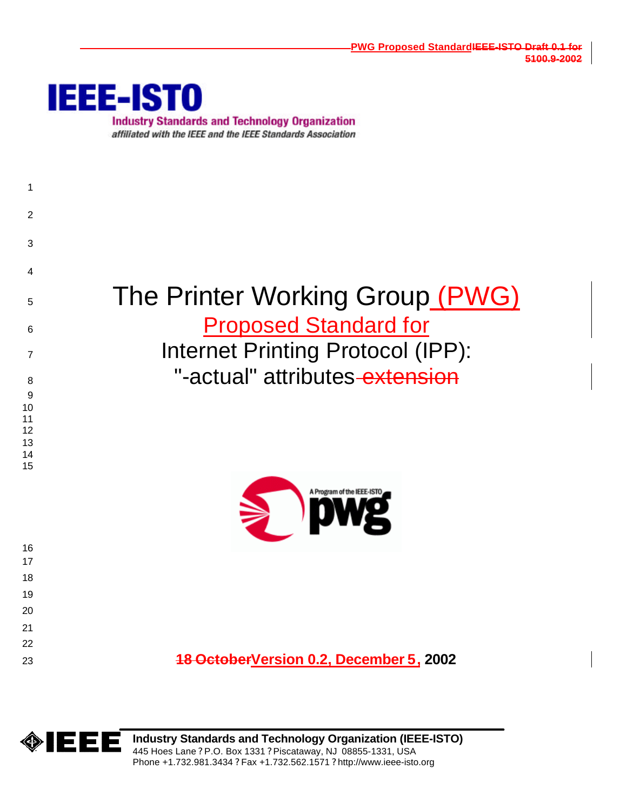

**Industry Standards and Technology Organization** affiliated with the IEEE and the IEEE Standards Association





**Industry Standards and Technology Organization (IEEE-ISTO)** 445 Hoes Lane ? P.O. Box 1331 ? Piscataway, NJ 08855-1331, USA Phone +1.732.981.3434 ? Fax +1.732.562.1571 ? http://www.ieee-isto.org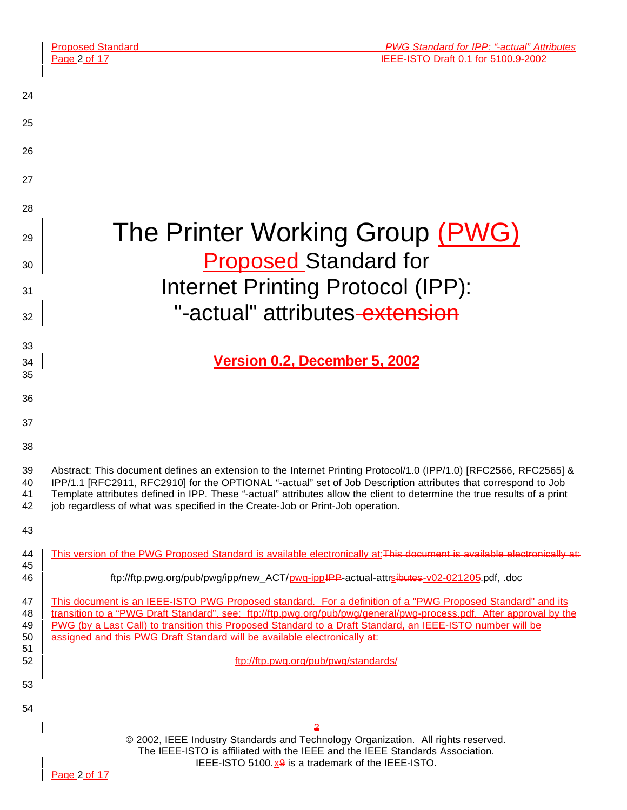|                            | <b>Proposed Standard</b><br><b>PWG Standard for IPP: "-actual" Attributes</b><br>Page 2 of 17-<br><u> IEEE-ISTO Draft 0.1 for 5100.9-2002</u>                                                                                                                                                                                                                                                                                                     |
|----------------------------|---------------------------------------------------------------------------------------------------------------------------------------------------------------------------------------------------------------------------------------------------------------------------------------------------------------------------------------------------------------------------------------------------------------------------------------------------|
|                            |                                                                                                                                                                                                                                                                                                                                                                                                                                                   |
| 24                         |                                                                                                                                                                                                                                                                                                                                                                                                                                                   |
| 25                         |                                                                                                                                                                                                                                                                                                                                                                                                                                                   |
| 26                         |                                                                                                                                                                                                                                                                                                                                                                                                                                                   |
| 27                         |                                                                                                                                                                                                                                                                                                                                                                                                                                                   |
| 28                         |                                                                                                                                                                                                                                                                                                                                                                                                                                                   |
|                            | The Printer Working Group (PWG)                                                                                                                                                                                                                                                                                                                                                                                                                   |
| 29                         |                                                                                                                                                                                                                                                                                                                                                                                                                                                   |
| 30                         | <b>Proposed Standard for</b>                                                                                                                                                                                                                                                                                                                                                                                                                      |
| 31                         | Internet Printing Protocol (IPP):                                                                                                                                                                                                                                                                                                                                                                                                                 |
| 32                         | "-actual" attributes-extension                                                                                                                                                                                                                                                                                                                                                                                                                    |
| 33                         |                                                                                                                                                                                                                                                                                                                                                                                                                                                   |
| 34<br>35                   | Version 0.2, December 5, 2002                                                                                                                                                                                                                                                                                                                                                                                                                     |
| 36                         |                                                                                                                                                                                                                                                                                                                                                                                                                                                   |
| 37                         |                                                                                                                                                                                                                                                                                                                                                                                                                                                   |
| 38                         |                                                                                                                                                                                                                                                                                                                                                                                                                                                   |
| 39<br>40<br>41<br>42       | Abstract: This document defines an extension to the Internet Printing Protocol/1.0 (IPP/1.0) [RFC2566, RFC2565] &<br>IPP/1.1 [RFC2911, RFC2910] for the OPTIONAL "-actual" set of Job Description attributes that correspond to Job<br>Template attributes defined in IPP. These "-actual" attributes allow the client to determine the true results of a print<br>job regardless of what was specified in the Create-Job or Print-Job operation. |
| 43                         |                                                                                                                                                                                                                                                                                                                                                                                                                                                   |
| 44<br>45                   | This version of the PWG Proposed Standard is available electronically at: This document is available electronically at:                                                                                                                                                                                                                                                                                                                           |
| 46                         | ftp://ftp.pwg.org/pub/pwg/ipp/new_ACT/pwg-ipplPP-actual-attrsibutes-v02-021205.pdf, .doc                                                                                                                                                                                                                                                                                                                                                          |
| 47<br>48<br>49<br>50<br>51 | This document is an IEEE-ISTO PWG Proposed standard. For a definition of a "PWG Proposed Standard" and its<br>transition to a "PWG Draft Standard", see: ftp://ftp.pwg.org/pub/pwg/general/pwg-process.pdf. After approval by the<br>PWG (by a Last Call) to transition this Proposed Standard to a Draft Standard, an IEEE-ISTO number will be<br>assigned and this PWG Draft Standard will be available electronically at:                      |
| 52                         | ftp://ftp.pwg.org/pub/pwg/standards/                                                                                                                                                                                                                                                                                                                                                                                                              |
| 53<br>54                   |                                                                                                                                                                                                                                                                                                                                                                                                                                                   |
|                            | 2<br>© 2002, IEEE Industry Standards and Technology Organization. All rights reserved.                                                                                                                                                                                                                                                                                                                                                            |
|                            | The IEEE-ISTO is affiliated with the IEEE and the IEEE Standards Association.<br>IEEE-ISTO 5100. $x9$ is a trademark of the IEEE-ISTO.                                                                                                                                                                                                                                                                                                            |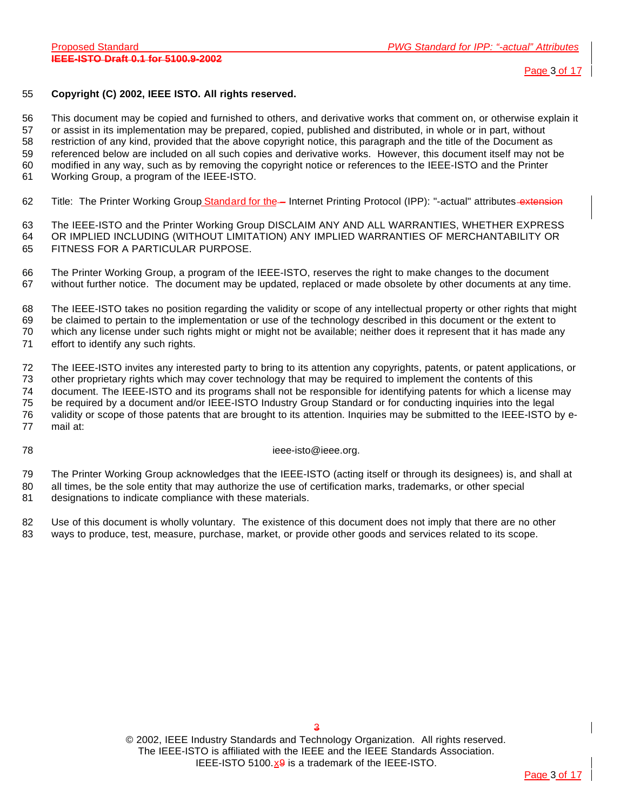Page 3 of 17

#### **Copyright (C) 2002, IEEE ISTO. All rights reserved.**

 This document may be copied and furnished to others, and derivative works that comment on, or otherwise explain it or assist in its implementation may be prepared, copied, published and distributed, in whole or in part, without restriction of any kind, provided that the above copyright notice, this paragraph and the title of the Document as referenced below are included on all such copies and derivative works. However, this document itself may not be modified in any way, such as by removing the copyright notice or references to the IEEE-ISTO and the Printer Working Group, a program of the IEEE-ISTO.

62 Title: The Printer Working Group Standard for the-Internet Printing Protocol (IPP): "-actual" attributes-extension

 The IEEE-ISTO and the Printer Working Group DISCLAIM ANY AND ALL WARRANTIES, WHETHER EXPRESS OR IMPLIED INCLUDING (WITHOUT LIMITATION) ANY IMPLIED WARRANTIES OF MERCHANTABILITY OR FITNESS FOR A PARTICULAR PURPOSE.

 The Printer Working Group, a program of the IEEE-ISTO, reserves the right to make changes to the document without further notice. The document may be updated, replaced or made obsolete by other documents at any time.

 The IEEE-ISTO takes no position regarding the validity or scope of any intellectual property or other rights that might be claimed to pertain to the implementation or use of the technology described in this document or the extent to which any license under such rights might or might not be available; neither does it represent that it has made any effort to identify any such rights.

The IEEE-ISTO invites any interested party to bring to its attention any copyrights, patents, or patent applications, or

other proprietary rights which may cover technology that may be required to implement the contents of this

- document. The IEEE-ISTO and its programs shall not be responsible for identifying patents for which a license may
- be required by a document and/or IEEE-ISTO Industry Group Standard or for conducting inquiries into the legal validity or scope of those patents that are brought to its attention. Inquiries may be submitted to the IEEE-ISTO by e-mail at:

#### ieee-isto@ieee.org.

 The Printer Working Group acknowledges that the IEEE-ISTO (acting itself or through its designees) is, and shall at all times, be the sole entity that may authorize the use of certification marks, trademarks, or other special

designations to indicate compliance with these materials.

82 Use of this document is wholly voluntary. The existence of this document does not imply that there are no other ways to produce, test, measure, purchase, market, or provide other goods and services related to its scope.

© 2002, IEEE Industry Standards and Technology Organization. All rights reserved. The IEEE-ISTO is affiliated with the IEEE and the IEEE Standards Association. IEEE-ISTO 5100.x9 is a trademark of the IEEE-ISTO.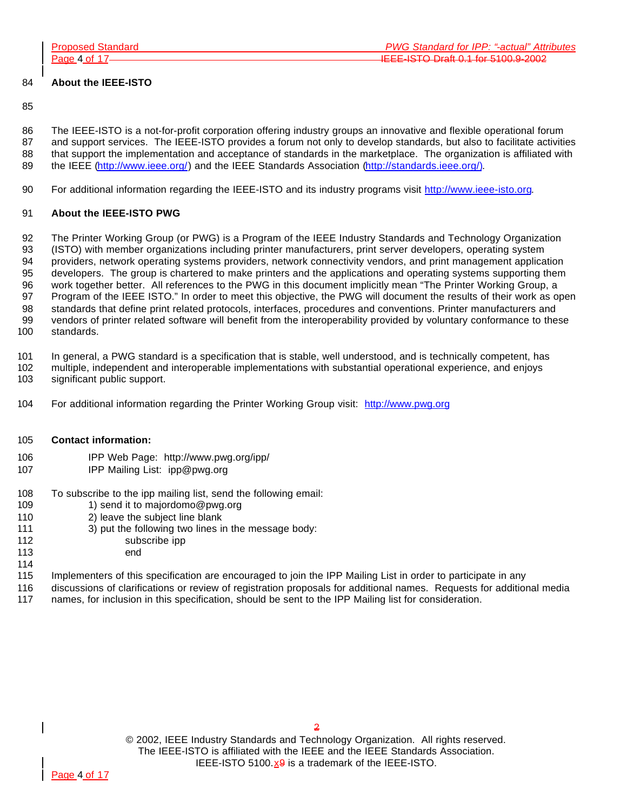#### **About the IEEE-ISTO**

 The IEEE-ISTO is a not-for-profit corporation offering industry groups an innovative and flexible operational forum and support services. The IEEE-ISTO provides a forum not only to develop standards, but also to facilitate activities 88 that support the implementation and acceptance of standards in the marketplace. The organization is affiliated with 89 the IEEE (http://www.ieee.org/) and the IEEE Standards Association (http://standards.ieee.org/).

For additional information regarding the IEEE-ISTO and its industry programs visit http://www.ieee-isto.org.

#### **About the IEEE-ISTO PWG**

 The Printer Working Group (or PWG) is a Program of the IEEE Industry Standards and Technology Organization (ISTO) with member organizations including printer manufacturers, print server developers, operating system providers, network operating systems providers, network connectivity vendors, and print management application developers. The group is chartered to make printers and the applications and operating systems supporting them work together better. All references to the PWG in this document implicitly mean "The Printer Working Group, a Program of the IEEE ISTO." In order to meet this objective, the PWG will document the results of their work as open standards that define print related protocols, interfaces, procedures and conventions. Printer manufacturers and vendors of printer related software will benefit from the interoperability provided by voluntary conformance to these standards.

In general, a PWG standard is a specification that is stable, well understood, and is technically competent, has

- multiple, independent and interoperable implementations with substantial operational experience, and enjoys significant public support.
- For additional information regarding the Printer Working Group visit: http://www.pwg.org

#### **Contact information:**

- IPP Web Page: http://www.pwg.org/ipp/
- IPP Mailing List: ipp@pwg.org
- To subscribe to the ipp mailing list, send the following email:
- 109 1) send it to majordomo@pwg.org
- 2) leave the subject line blank
- 111 3) put the following two lines in the message body:
- subscribe ipp
- end
- Implementers of this specification are encouraged to join the IPP Mailing List in order to participate in any
- discussions of clarifications or review of registration proposals for additional names. Requests for additional media
- names, for inclusion in this specification, should be sent to the IPP Mailing list for consideration.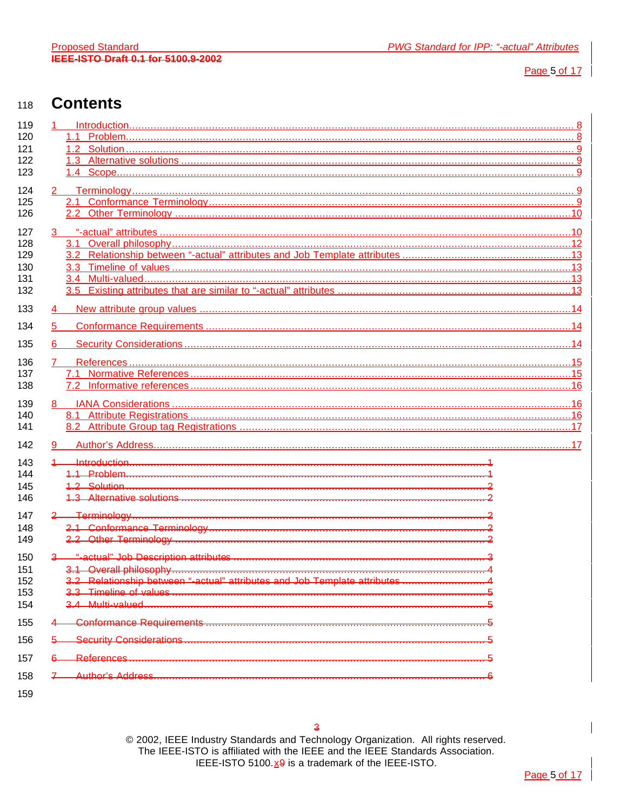#### Page 5 of 17

#### **Contents** 118

| 119        |             |                                                                           |  |
|------------|-------------|---------------------------------------------------------------------------|--|
| 120        |             |                                                                           |  |
| 121        |             |                                                                           |  |
| 122        |             |                                                                           |  |
| 123        |             |                                                                           |  |
| 124        |             |                                                                           |  |
| 125        |             |                                                                           |  |
| 126        |             |                                                                           |  |
| 127        |             |                                                                           |  |
| 128        |             |                                                                           |  |
| 129        |             |                                                                           |  |
| 130        |             |                                                                           |  |
| 131        |             |                                                                           |  |
| 132        |             |                                                                           |  |
| 133        |             |                                                                           |  |
| 134        | $5^{\circ}$ |                                                                           |  |
| 135        | $6 -$       |                                                                           |  |
|            |             |                                                                           |  |
| 136        | $7^{\circ}$ |                                                                           |  |
| 137<br>138 |             |                                                                           |  |
|            |             |                                                                           |  |
| 139        |             |                                                                           |  |
| 140        |             |                                                                           |  |
| 141        |             |                                                                           |  |
| 142        |             |                                                                           |  |
| 143        |             |                                                                           |  |
| 144        |             |                                                                           |  |
| 145        |             |                                                                           |  |
| 146        |             |                                                                           |  |
| 147        |             |                                                                           |  |
| 148        |             |                                                                           |  |
| 149        |             |                                                                           |  |
| 150        |             |                                                                           |  |
| 151        |             |                                                                           |  |
| 152        |             | 3.2 Relationship between "-actual" attributes and Job Template attributes |  |
| 153        |             |                                                                           |  |
| 154        |             |                                                                           |  |
| 155        |             |                                                                           |  |
| 156        |             |                                                                           |  |
| 157        |             |                                                                           |  |
| 158        |             |                                                                           |  |
| 159        |             |                                                                           |  |

© 2002, IEEE Industry Standards and Technology Organization. All rights reserved. The IEEE-ISTO is affiliated with the IEEE and the IEEE Standards Association. IEEE-ISTO 5100.x9 is a trademark of the IEEE-ISTO.

 $\overline{\mathbf{3}}$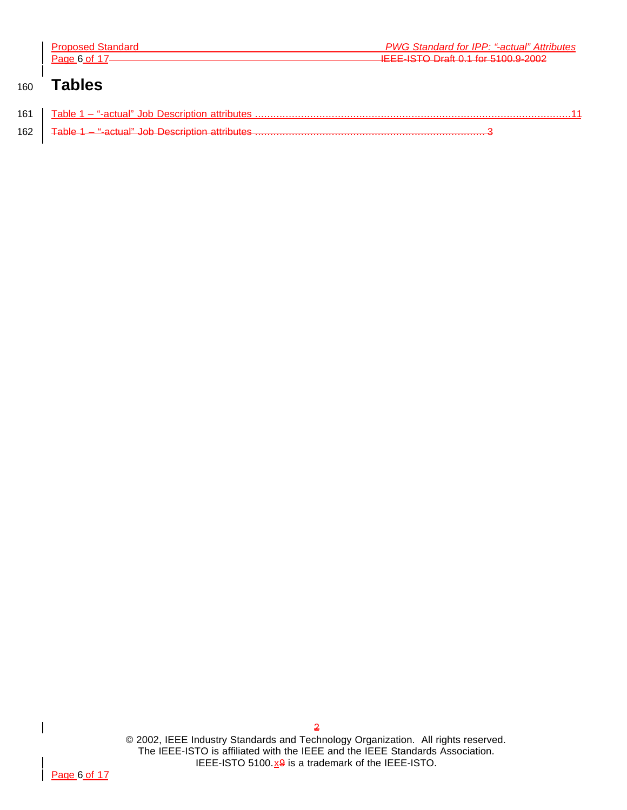| <b>Proposed Standard</b> | PWG Standard for IPP: "-actual" Attributes                                           |
|--------------------------|--------------------------------------------------------------------------------------|
| Page 6 of 17             | IFFEJSTO Draft 0.1 for 5100 9-2002<br><del>isseno i o pian u. Hui u iuu.u zuuz</del> |
|                          |                                                                                      |
| <b>Tables</b>            |                                                                                      |

| 161 |                                                   |  |
|-----|---------------------------------------------------|--|
| 162 | $T$ ahle 1 – "-actual" Job Description attributes |  |

© 2002, IEEE Industry Standards and Technology Organization. All rights reserved. The IEEE-ISTO is affiliated with the IEEE and the IEEE Standards Association. IEEE-ISTO 5100. $\underline{x}$ <sup>9</sup> is a trademark of the IEEE-ISTO.

<sup>160</sup> **Tables**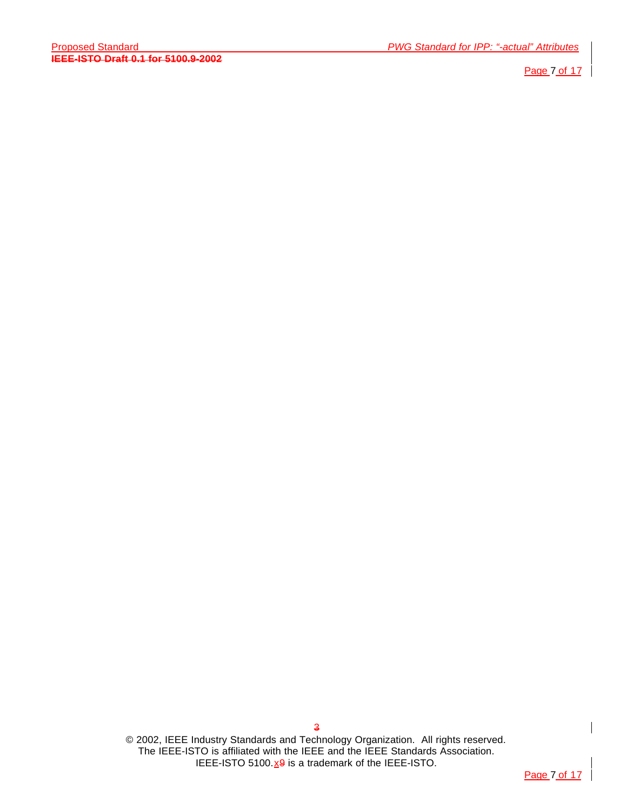Page 7 of 17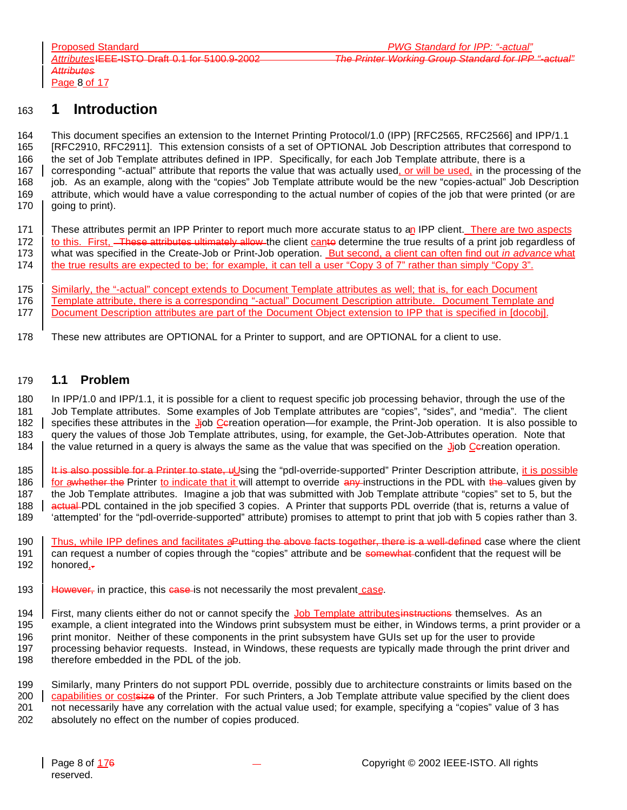Proposed Standard *PWG Standard for IPP: "-actual" Attributes* Page 8 of 17

# <sup>163</sup> **1 Introduction**

 This document specifies an extension to the Internet Printing Protocol/1.0 (IPP) [RFC2565, RFC2566] and IPP/1.1 [RFC2910, RFC2911]. This extension consists of a set of OPTIONAL Job Description attributes that correspond to the set of Job Template attributes defined in IPP. Specifically, for each Job Template attribute, there is a corresponding "-actual" attribute that reports the value that was actually used, or will be used, in the processing of the job. As an example, along with the "copies" Job Template attribute would be the new "copies-actual" Job Description attribute, which would have a value corresponding to the actual number of copies of the job that were printed (or are 170 going to print).

171 These attributes permit an IPP Printer to report much more accurate status to an IPP client. There are two aspects 172 to this. First, These attributes ultimately allow the client cante determine the true results of a print job regardless of 173 what was specified in the Create-Job or Print-Job operation. But second, a client can often find out *in advance* what 174 the true results are expected to be; for example, it can tell a user "Copy 3 of 7" rather than simply "Copy 3".

175 Similarly, the "-actual" concept extends to Document Template attributes as well; that is, for each Document

176 Template attribute, there is a corresponding "-actual" Document Description attribute. Document Template and 177 Document Description attributes are part of the Document Object extension to IPP that is specified in [docobj].

178 These new attributes are OPTIONAL for a Printer to support, and are OPTIONAL for a client to use.

# 179 **1.1 Problem**

180 In IPP/1.0 and IPP/1.1, it is possible for a client to request specific job processing behavior, through the use of the 181 Job Template attributes. Some examples of Job Template attributes are "copies", "sides", and "media". The client 182 | specifies these attributes in the J<sub>job</sub> Cereation operation—for example, the Print-Job operation. It is also possible to 183 query the values of those Job Template attributes, using, for example, the Get-Job-Attributes operation. Note that 184 the value returned in a query is always the same as the value that was specified on the Jipob Cereation operation.

185 | It is also possible for a Printer to state, uUsing the "pdl-override-supported" Printer Description attribute, it is possible 186 for awhether the Printer to indicate that it will attempt to override any instructions in the PDL with the values given by 187 the Job Template attributes. Imagine a job that was submitted with Job Template attribute "copies" set to 5, but the 188 | actual PDL contained in the job specified 3 copies. A Printer that supports PDL override (that is, returns a value of 189 'attempted' for the "pdl-override-supported" attribute) promises to attempt to print that job with 5 copies rather than 3.

190 Thus, while IPP defines and facilitates a Putting the above facts together, there is a well-defined case where the client 191 can request a number of copies through the "copies" attribute and be some what confident that the request will be 192  $\parallel$  honored.

193  $\parallel$  However, in practice, this case is not necessarily the most prevalent case.

194 First, many clients either do not or cannot specify the Job Template attributesinstructions themselves. As an example, a client integrated into the Windows print subsystem must be either, in Windows terms, a print provider or a print monitor. Neither of these components in the print subsystem have GUIs set up for the user to provide processing behavior requests. Instead, in Windows, these requests are typically made through the print driver and therefore embedded in the PDL of the job.

 Similarly, many Printers do not support PDL override, possibly due to architecture constraints or limits based on the 200 capabilities or costsize of the Printer. For such Printers, a Job Template attribute value specified by the client does not necessarily have any correlation with the actual value used; for example, specifying a "copies" value of 3 has absolutely no effect on the number of copies produced.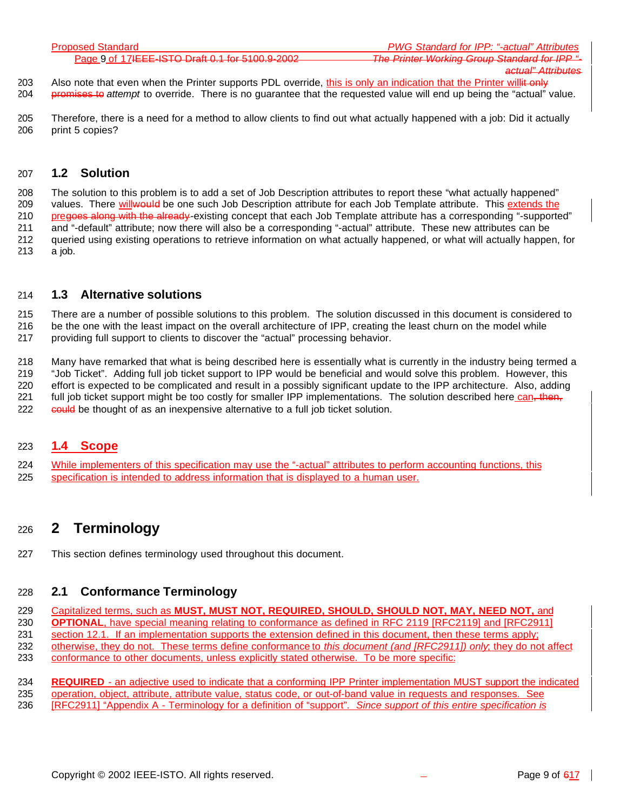| <b>Proposed Standard</b>                         | <b>PWG Standard for IPP: "-actual" Attributes</b>                                                  |
|--------------------------------------------------|----------------------------------------------------------------------------------------------------|
| Page 9 of 17 HEEE-ISTO Draft 0.1 for 5100.9-2002 | The Printer Working Group Standard for IPP "-<br><del>ino mino moning divup diamana ivi ii t</del> |
|                                                  | ortuel" Attributes                                                                                 |

- 203 Also note that even when the Printer supports PDL override, this is only an indication that the Printer willit only promises to *attempt* to override. There is no guarantee that the requested value will end up being the "actual" value.
- Therefore, there is a need for a method to allow clients to find out what actually happened with a job: Did it actually print 5 copies?

## **1.2 Solution**

 The solution to this problem is to add a set of Job Description attributes to report these "what actually happened" 209 values. There willwould be one such Job Description attribute for each Job Template attribute. This extends the 210 pregoes along with the already-existing concept that each Job Template attribute has a corresponding "-supported" and "-default" attribute; now there will also be a corresponding "-actual" attribute. These new attributes can be queried using existing operations to retrieve information on what actually happened, or what will actually happen, for a job.

# **1.3 Alternative solutions**

 There are a number of possible solutions to this problem. The solution discussed in this document is considered to be the one with the least impact on the overall architecture of IPP, creating the least churn on the model while providing full support to clients to discover the "actual" processing behavior.

 Many have remarked that what is being described here is essentially what is currently in the industry being termed a "Job Ticket". Adding full job ticket support to IPP would be beneficial and would solve this problem. However, this effort is expected to be complicated and result in a possibly significant update to the IPP architecture. Also, adding 221 full job ticket support might be too costly for smaller IPP implementations. The solution described here can, then, 222 could be thought of as an inexpensive alternative to a full job ticket solution.

# **1.4 Scope**

224 While implementers of this specification may use the "-actual" attributes to perform accounting functions, this specification is intended to address information that is displayed to a human user.

# **2 Terminology**

227 This section defines terminology used throughout this document.

## **2.1 Conformance Terminology**

 Capitalized terms, such as **MUST, MUST NOT, REQUIRED, SHOULD, SHOULD NOT, MAY, NEED NOT,** and **OPTIONAL**, have special meaning relating to conformance as defined in RFC 2119 [RFC2119] and [RFC2911] section 12.1. If an implementation supports the extension defined in this document, then these terms apply; otherwise, they do not. These terms define conformance to *this document (and [RFC2911]) only*; they do not affect conformance to other documents, unless explicitly stated otherwise. To be more specific:

 **REQUIRED** - an adjective used to indicate that a conforming IPP Printer implementation MUST support the indicated operation, object, attribute, attribute value, status code, or out-of-band value in requests and responses. See [RFC2911] "Appendix A - Terminology for a definition of "support". *Since support of this entire specification is*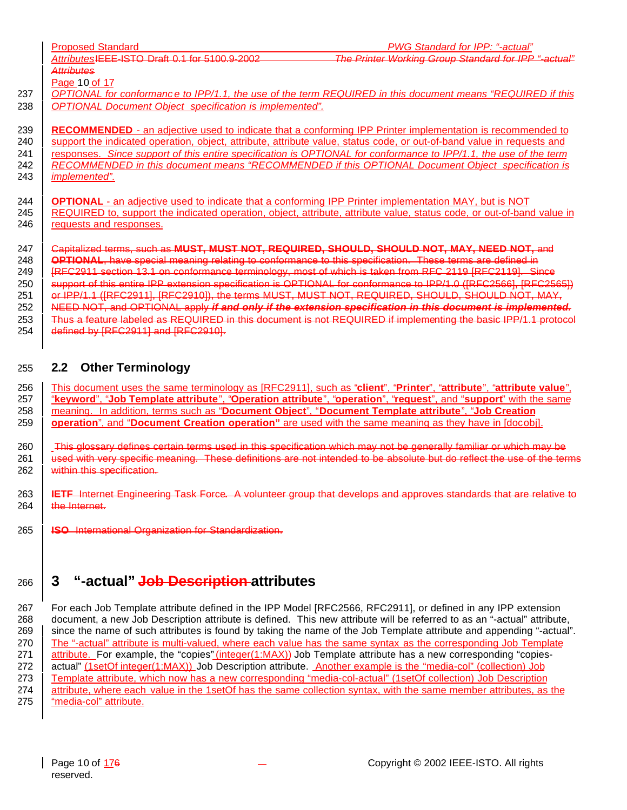|     | <b>Proposed Standard</b>                                                                                     | <b>PWG Standard for IPP: "-actual"</b>                                                                                 |
|-----|--------------------------------------------------------------------------------------------------------------|------------------------------------------------------------------------------------------------------------------------|
|     | AttributesIEEE-ISTO Draft 0.1 for 5100.9-2002                                                                | The Printer Working Group Standard for IPP "-actual"                                                                   |
|     | <b>Attributes</b>                                                                                            |                                                                                                                        |
|     | Page 10 of 17                                                                                                |                                                                                                                        |
| 237 |                                                                                                              | OPTIONAL for conformance to IPP/1.1, the use of the term REQUIRED in this document means "REQUIRED if this             |
| 238 | <b>OPTIONAL Document Object specification is implemented".</b>                                               |                                                                                                                        |
| 239 |                                                                                                              | <b>RECOMMENDED</b> - an adjective used to indicate that a conforming IPP Printer implementation is recommended to      |
| 240 |                                                                                                              | support the indicated operation, object, attribute, attribute value, status code, or out-of-band value in requests and |
| 241 |                                                                                                              | responses. Since support of this entire specification is OPTIONAL for conformance to IPP/1.1, the use of the term      |
| 242 |                                                                                                              | RECOMMENDED in this document means "RECOMMENDED if this OPTIONAL Document Object specification is                      |
| 243 | <i>implemented".</i>                                                                                         |                                                                                                                        |
|     |                                                                                                              |                                                                                                                        |
| 244 | <b>OPTIONAL</b> - an adjective used to indicate that a conforming IPP Printer implementation MAY, but is NOT |                                                                                                                        |
| 245 |                                                                                                              | REQUIRED to, support the indicated operation, object, attribute, attribute value, status code, or out-of-band value in |
| 246 | requests and responses.                                                                                      |                                                                                                                        |
| 247 |                                                                                                              | Capitalized terms, such as MUST, MUST NOT, REQUIRED, SHOULD, SHOULD NOT, MAY, NEED NOT, and                            |
|     |                                                                                                              |                                                                                                                        |
| 248 |                                                                                                              | <b>OPTIONAL</b> , have special meaning relating to conformance to this specification. These terms are defined in       |
| 249 |                                                                                                              | [RFC2911 section 13.1 on conformance terminology, most of which is taken from RFC 2119 [RFC2119]. Since                |
| 250 |                                                                                                              | support of this entire IPP extension specification is OPTIONAL for conformance to IPP/1.0 (IRFC2566). [RFC2565])       |
| 251 |                                                                                                              | or IPP/1.1 (IRFC2911), IRFC2910)), the terms MUST, MUST NOT, REQUIRED, SHOULD, SHOULD NOT, MAY,                        |
| 252 |                                                                                                              | NEED NOT, and OPTIONAL apply <b>if and only if the extension specification in this document is implemented.</b>        |

253 Thus a feature labeled as REQUIRED in this document is not REQUIRED if implementing the basic IPP/1.1 protocol

 This document uses the same terminology as [RFC2911], such as "**client**", "**Printer**", "**attribute**", "**attribute value**", "**keyword**", "**Job Template attribute**", "**Operation attribute**", "**operation**", "**request**", and "**support**" with the same meaning. In addition, terms such as "**Document Object**", "**Document Template attribute**", "**Job Creation operation**", and "**Document Creation operation"** are used with the same meaning as they have in [docobj].

260 This glossary defines certain terms used in this specification which may not be generally familiar or which may be 261 used with very specific meaning. These definitions are not intended to be absolute but do reflect the use of the terms

**IETF** Internet Engineering Task Force**.** A volunteer group that develops and approves standards that are relative to

 For each Job Template attribute defined in the IPP Model [RFC2566, RFC2911], or defined in any IPP extension document, a new Job Description attribute is defined. This new attribute will be referred to as an "-actual" attribute, 269 Since the name of such attributes is found by taking the name of the Job Template attribute and appending "-actual". 270 The "-actual" attribute is multi-valued, where each value has the same syntax as the corresponding Job Template 271 attribute. For example, the "copies" (integer(1:MAX)) Job Template attribute has a new corresponding "copies-272 actual" (1setOf integer(1:MAX)) Job Description attribute. Another example is the "media-col" (collection) Job Template attribute, which now has a new corresponding "media-col-actual" (1setOf collection) Job Description 274 attribute, where each value in the 1setOf has the same collection syntax, with the same member attributes, as the

reserved.

275 <sup>"</sup>media-col" attribute.

**defined by [RFC2911] and [RFC2910].** 

**| ISO** International Organization for Standardization.

**3 "-actual" Job Description attributes**

**2.2 Other Terminology**

262 within this specification.

the Internet.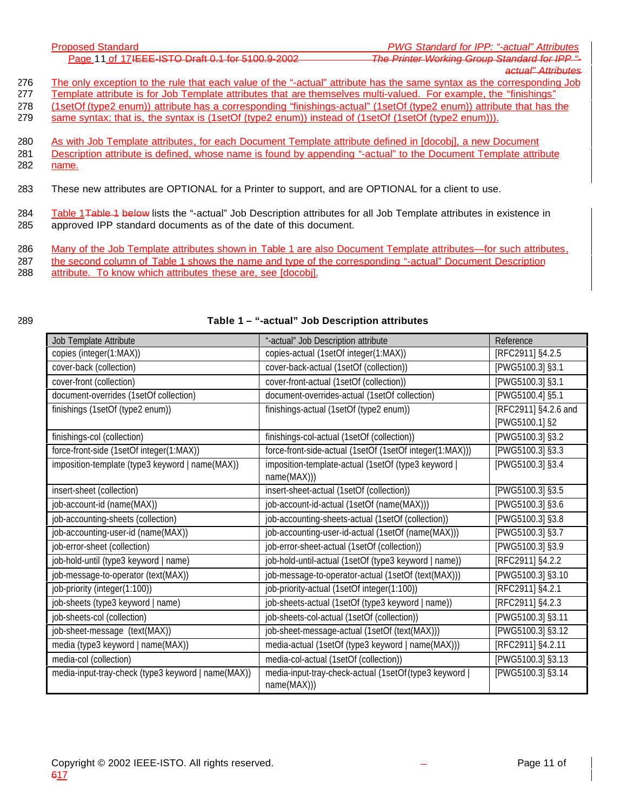|     | <b>Proposed Standard</b>                                                                                               | <b>PWG Standard for IPP: "-actual" Attributes</b> |
|-----|------------------------------------------------------------------------------------------------------------------------|---------------------------------------------------|
|     | Page 11 of 17 IEEE-ISTO Draft 0.1 for 5100.9-2002                                                                      | The Printer Working Group Standard for IPP "      |
|     |                                                                                                                        | actual" Attributes                                |
| 276 | The only exception to the rule that each value of the "-actual" attribute has the same syntax as the corresponding Job |                                                   |
| 277 | Template attribute is for Job Template attributes that are themselves multi-valued. For example, the "finishings"      |                                                   |
| 278 | (1setOf (type2 enum)) attribute has a corresponding "finishings-actual" (1setOf (type2 enum)) attribute that has the   |                                                   |
| 279 | same syntax; that is, the syntax is (1setOf (type2 enum)) instead of (1setOf (1setOf (type2 enum))).                   |                                                   |

- 280 As with Job Template attributes, for each Document Template attribute defined in [docobi], a new Document 281 Description attribute is defined, whose name is found by appending "-actual" to the Document Template attribute 282 name.
- 283 These new attributes are OPTIONAL for a Printer to support, and are OPTIONAL for a client to use.

284 Table 1 Table 1 below lists the "-actual" Job Description attributes for all Job Template attributes in existence in 285 approved IPP standard documents as of the date of this document. approved IPP standard documents as of the date of this document.

- 286 Many of the Job Template attributes shown in Table 1 are also Document Template attributes—for such attributes,
- 287 the second column of Table 1 shows the name and type of the corresponding "-actual" Document Description 288 attribute. To know which attributes these are, see [docobj].

## 289 **Table 1 – "-actual" Job Description attributes**

| Job Template Attribute                             | "-actual" Job Description attribute                               | Reference            |
|----------------------------------------------------|-------------------------------------------------------------------|----------------------|
| copies (integer(1:MAX))                            | copies-actual (1setOf integer(1:MAX))                             | [RFC2911] §4.2.5     |
| cover-back (collection)                            | cover-back-actual (1setOf (collection))                           | [PWG5100.3] §3.1     |
| cover-front (collection)                           | cover-front-actual (1setOf (collection))                          | [PWG5100.3] §3.1     |
| document-overrides (1setOf collection)             | document-overrides-actual (1setOf collection)                     | [PWG5100.4] §5.1     |
| finishings (1setOf (type2 enum))                   | finishings-actual (1setOf (type2 enum))                           | [RFC2911] §4.2.6 and |
|                                                    |                                                                   | [PWG5100.1] §2       |
| finishings-col (collection)                        | finishings-col-actual (1setOf (collection))                       | [PWG5100.3] §3.2     |
| force-front-side (1setOf integer(1:MAX))           | force-front-side-actual (1setOf (1setOf integer(1:MAX)))          | [PWG5100.3] §3.3     |
| imposition-template (type3 keyword   name(MAX))    | imposition-template-actual (1setOf (type3 keyword<br>name(MAX)))  | [PWG5100.3] §3.4     |
| insert-sheet (collection)                          | insert-sheet-actual (1setOf (collection))                         | [PWG5100.3] §3.5     |
| job-account-id (name(MAX))                         | job-account-id-actual (1setOf (name(MAX)))                        | [PWG5100.3] §3.6     |
| job-accounting-sheets (collection)                 | job-accounting-sheets-actual (1setOf (collection))                | [PWG5100.3] §3.8     |
| job-accounting-user-id (name(MAX))                 | job-accounting-user-id-actual (1setOf (name(MAX)))                | [PWG5100.3] §3.7     |
| job-error-sheet (collection)                       | job-error-sheet-actual (1setOf (collection))                      | [PWG5100.3] §3.9     |
| job-hold-until (type3 keyword   name)              | job-hold-until-actual (1setOf (type3 keyword   name))             | [RFC2911] §4.2.2     |
| job-message-to-operator (text(MAX))                | job-message-to-operator-actual (1setOf (text(MAX)))               | [PWG5100.3] §3.10    |
| job-priority (integer(1:100))                      | job-priority-actual (1setOf integer(1:100))                       | [RFC2911] §4.2.1     |
| job-sheets (type3 keyword   name)                  | job-sheets-actual (1setOf (type3 keyword   name))                 | [RFC2911] §4.2.3     |
| job-sheets-col (collection)                        | job-sheets-col-actual (1setOf (collection))                       | [PWG5100.3] §3.11    |
| job-sheet-message (text(MAX))                      | job-sheet-message-actual (1setOf (text(MAX)))                     | [PWG5100.3] §3.12    |
| media (type3 keyword   name(MAX))                  | media-actual (1setOf (type3 keyword   name(MAX)))                 | [RFC2911] §4.2.11    |
| media-col (collection)                             | media-col-actual (1setOf (collection))                            | [PWG5100.3] §3.13    |
| media-input-tray-check (type3 keyword   name(MAX)) | media-input-tray-check-actual (1setOf(type3 keyword<br>name(MAX)) | [PWG5100.3] §3.14    |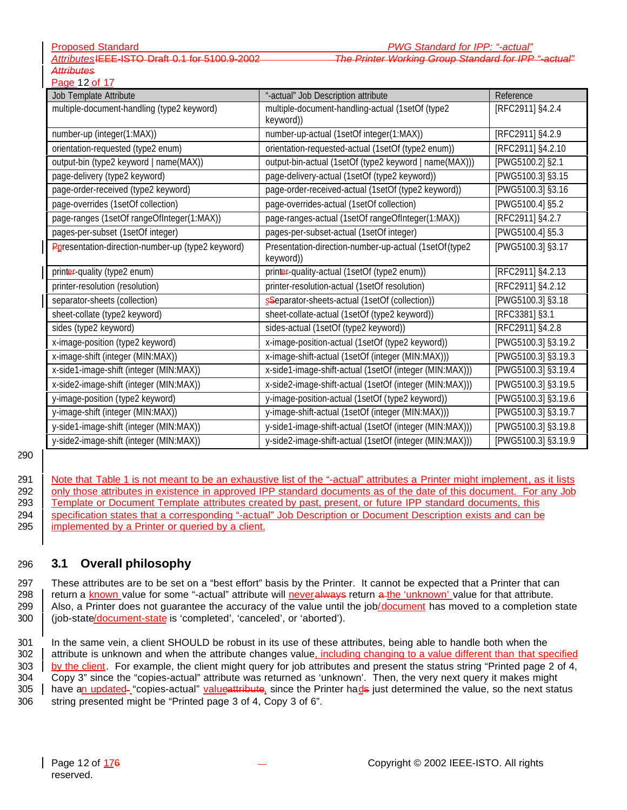# *Attributes*

# Page 12 of 17

| Job Template Attribute                            | "-actual" Job Description attribute                                | Reference           |
|---------------------------------------------------|--------------------------------------------------------------------|---------------------|
| multiple-document-handling (type2 keyword)        | multiple-document-handling-actual (1setOf (type2<br>keyword))      | [RFC2911] §4.2.4    |
| number-up (integer(1:MAX))                        | number-up-actual (1setOf integer(1:MAX))                           | [RFC2911] §4.2.9    |
| orientation-requested (type2 enum)                | orientation-requested-actual (1setOf (type2 enum))                 | [RFC2911] §4.2.10   |
| output-bin (type2 keyword   name(MAX))            | output-bin-actual (1setOf (type2 keyword   name(MAX)))             | [PWG5100.2] §2.1    |
| page-delivery (type2 keyword)                     | page-delivery-actual (1setOf (type2 keyword))                      | [PWG5100.3] §3.15   |
| page-order-received (type2 keyword)               | page-order-received-actual (1setOf (type2 keyword))                | [PWG5100.3] §3.16   |
| page-overrides (1setOf collection)                | page-overrides-actual (1setOf collection)                          | [PWG5100.4] §5.2    |
| page-ranges (1setOf rangeOfInteger(1:MAX))        | page-ranges-actual (1setOf rangeOfInteger(1:MAX))                  | [RFC2911] §4.2.7    |
| pages-per-subset (1setOf integer)                 | pages-per-subset-actual (1setOf integer)                           | [PWG5100.4] §5.3    |
| Ppresentation-direction-number-up (type2 keyword) | Presentation-direction-number-up-actual (1setOf(type2<br>keyword)) | [PWG5100.3] §3.17   |
| printer-quality (type2 enum)                      | printer-quality-actual (1setOf (type2 enum))                       | [RFC2911] §4.2.13   |
| printer-resolution (resolution)                   | printer-resolution-actual (1setOf resolution)                      | [RFC2911] §4.2.12   |
| separator-sheets (collection)                     | sSeparator-sheets-actual (1setOf (collection))                     | [PWG5100.3] §3.18   |
| sheet-collate (type2 keyword)                     | sheet-collate-actual (1setOf (type2 keyword))                      | [RFC3381] §3.1      |
| sides (type2 keyword)                             | sides-actual (1setOf (type2 keyword))                              | [RFC2911] §4.2.8    |
| x-image-position (type2 keyword)                  | x-image-position-actual (1setOf (type2 keyword))                   | [PWG5100.3] §3.19.2 |
| x-image-shift (integer (MIN:MAX))                 | x-image-shift-actual (1setOf (integer (MIN:MAX)))                  | [PWG5100.3] §3.19.3 |
| x-side1-image-shift (integer (MIN:MAX))           | x-side1-image-shift-actual (1setOf (integer (MIN:MAX)))            | [PWG5100.3] §3.19.4 |
| x-side2-image-shift (integer (MIN:MAX))           | x-side2-image-shift-actual (1setOf (integer (MIN:MAX)))            | [PWG5100.3] §3.19.5 |
| y-image-position (type2 keyword)                  | y-image-position-actual (1setOf (type2 keyword))                   | [PWG5100.3] §3.19.6 |
| y-image-shift (integer (MIN:MAX))                 | y-image-shift-actual (1setOf (integer (MIN:MAX)))                  | [PWG5100.3] §3.19.7 |
| y-side1-image-shift (integer (MIN:MAX))           | y-side1-image-shift-actual (1setOf (integer (MIN:MAX)))            | [PWG5100.3] §3.19.8 |
| y-side2-image-shift (integer (MIN:MAX))           | y-side2-image-shift-actual (1setOf (integer (MIN:MAX)))            | [PWG5100.3] §3.19.9 |

#### 290

291 | Note that Table 1 is not meant to be an exhaustive list of the "-actual" attributes a Printer might implement, as it lists 292 only those attributes in existence in approved IPP standard documents as of the date of this document. For any Job 293 Template or Document Template attributes created by past, present, or future IPP standard documents, this 294 Specification states that a corresponding "-actual" Job Description or Document Description exists and can be 295 implemented by a Printer or queried by a client.

# 296 **3.1 Overall philosophy**

297 These attributes are to be set on a "best effort" basis by the Printer. It cannot be expected that a Printer that can 298 | return a known value for some "-actual" attribute will neveralways return a the 'unknown' value for that attribute. 299 Also, a Printer does not guarantee the accuracy of the value until the job/document has moved to a completion state 300 (job-state/document-state is 'completed', 'canceled', or 'aborted').

 In the same vein, a client SHOULD be robust in its use of these attributes, being able to handle both when the 302 attribute is unknown and when the attribute changes value, including changing to a value different than that specified by the client. For example, the client might query for job attributes and present the status string "Printed page 2 of 4, Copy 3" since the "copies-actual" attribute was returned as 'unknown'. Then, the very next query it makes might 305 have an updated- "copies-actual" valueattribute, since the Printer hads just determined the value, so the next status string presented might be "Printed page 3 of 4, Copy 3 of 6".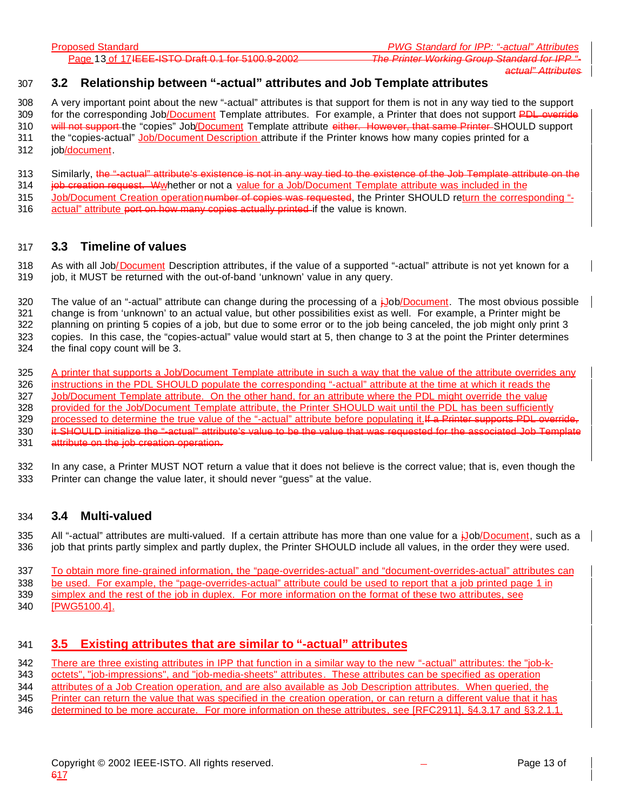Proposed Standard *PWG Standard for IPP: "-actual" Attributes*

# **3.2 Relationship between "-actual" attributes and Job Template attributes**

 A very important point about the new "-actual" attributes is that support for them is not in any way tied to the support 309 for the corresponding Job/Document Template attributes. For example, a Printer that does not support PDL override 310 will not support the "copies" Job/Document Template attribute either. However, that same Printer SHOULD support 311 the "copies-actual" Job/Document Description attribute if the Printer knows how many copies printed for a job/document.

- 313 Similarly, the "-actual" attribute's existence is not in any way tied to the existence of the Job Template attribute on the
- 314 job creation request. Wwhether or not a value for a Job/Document Template attribute was included in the
- 315 Job/Document Creation operation number of copies was requested, the Printer SHOULD return the corresponding "-316 actual" attribute port on how many copies actually printed if the value is known.

# **3.3 Timeline of values**

318 As with all Job/Document Description attributes, if the value of a supported "-actual" attribute is not yet known for a job, it MUST be returned with the out-of-band 'unknown' value in any query.

320 The value of an "-actual" attribute can change during the processing of a  $\frac{1}{10}$ bo/Document. The most obvious possible change is from 'unknown' to an actual value, but other possibilities exist as well. For example, a Printer might be planning on printing 5 copies of a job, but due to some error or to the job being canceled, the job might only print 3 copies. In this case, the "copies-actual" value would start at 5, then change to 3 at the point the Printer determines the final copy count will be 3.

 A printer that supports a Job/Document Template attribute in such a way that the value of the attribute overrides any instructions in the PDL SHOULD populate the corresponding "-actual" attribute at the time at which it reads the Job/Document Template attribute. On the other hand, for an attribute where the PDL might override the value provided for the Job/Document Template attribute, the Printer SHOULD wait until the PDL has been sufficiently 329 processed to determine the true value of the "-actual" attribute before populating it. If a Printer supports PDL override, it SHOULD initialize the "-actual" attribute's value to be the value that was requested for the associated Job Template attribute on the job creation operation.

 In any case, a Printer MUST NOT return a value that it does not believe is the correct value; that is, even though the Printer can change the value later, it should never "guess" at the value.

# **3.4 Multi-valued**

335 All "-actual" attributes are multi-valued. If a certain attribute has more than one value for a  $\mu$ ob/Document, such as a job that prints partly simplex and partly duplex, the Printer SHOULD include all values, in the order they were used.

To obtain more fine-grained information, the "page-overrides-actual" and "document-overrides-actual" attributes can

 be used. For example, the "page-overrides-actual" attribute could be used to report that a job printed page 1 in simplex and the rest of the job in duplex. For more information on the format of these two attributes, see [PWG5100.4].

# **3.5 Existing attributes that are similar to "-actual" attributes**

342 There are three existing attributes in IPP that function in a similar way to the new "-actual" attributes: the "job-k-

octets", "job-impressions", and "job-media-sheets" attributes. These attributes can be specified as operation

344 attributes of a Job Creation operation, and are also available as Job Description attributes. When queried, the

Printer can return the value that was specified in the creation operation, or can return a different value that it has

determined to be more accurate. For more information on these attributes, see [RFC2911], §4.3.17 and §3.2.1.1.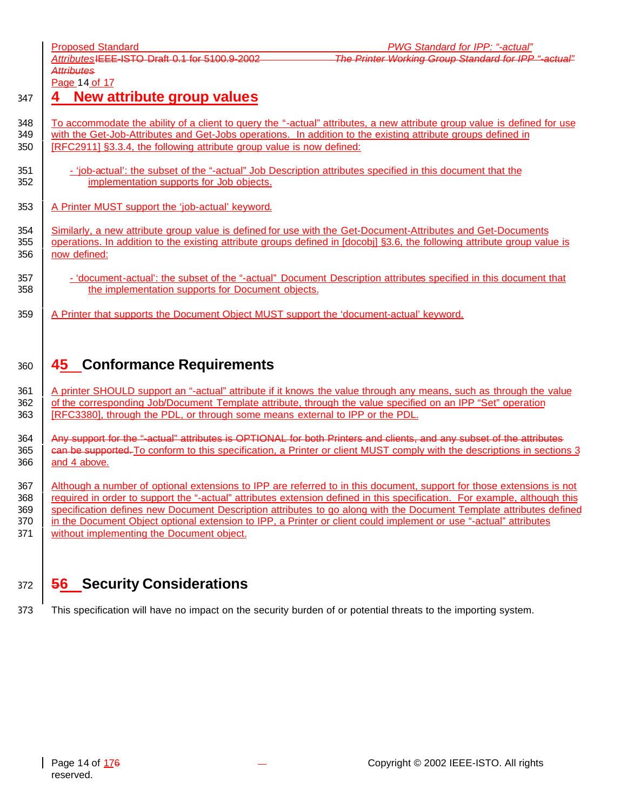|     | <b>Proposed Standard</b>                       | PWG Standard for IPP: "-actual"                      |
|-----|------------------------------------------------|------------------------------------------------------|
|     | AttributesIEEE-ISTO_Draft_0_1_for_5100_9-2002_ | The Printer Working Group Standard for IPP "-actual" |
|     | Attributos<br><del>-</del>                     |                                                      |
|     | Page 14 of 17                                  |                                                      |
| 347 | New attribute group values                     |                                                      |

- 348 To accommodate the ability of a client to query the "-actual" attributes, a new attribute group value is defined for use 349 with the Get-Job-Attributes and Get-Jobs operations. In addition to the existing attribute groups defined in 350 | **RFC2911** §3.3.4, the following attribute group value is now defined:
- 351 | 'job-actual': the subset of the "-actual" Job Description attributes specified in this document that the 352 implementation supports for Job objects.
- 353 A Printer MUST support the 'job-actual' keyword.
- 354 Similarly, a new attribute group value is defined for use with the Get-Document-Attributes and Get-Documents 355 operations. In addition to the existing attribute groups defined in [docobi] §3.6, the following attribute group value is 356 now defined:
- 357  $\vert$  'document-actual': the subset of the "-actual" Document Description attributes specified in this document that 358 **the implementation supports for Document objects.**
- 359 A Printer that supports the Document Object MUST support the 'document-actual' keyword.

# <sup>360</sup> **45 Conformance Requirements**

361 A printer SHOULD support an "-actual" attribute if it knows the value through any means, such as through the value 362 of the corresponding Job/Document Template attribute, through the value specified on an IPP "Set" operation 363 [RFC3380], through the PDL, or through some means external to IPP or the PDL.

364 Any support for the "-actual" attributes is OPTIONAL for both Printers and clients, and any subset of the attributes 365 **can be supported.** To conform to this specification, a Printer or client MUST comply with the descriptions in sections 3 366 and 4 above.

367 Although a number of optional extensions to IPP are referred to in this document, support for those extensions is not 368 required in order to support the "-actual" attributes extension defined in this specification. For example, although this 369 Specification defines new Document Description attributes to go along with the Document Template attributes defined 370 in the Document Object optional extension to IPP, a Printer or client could implement or use "-actual" attributes 371 | without implementing the Document object.

# <sup>372</sup> **56 Security Considerations**

373 This specification will have no impact on the security burden of or potential threats to the importing system.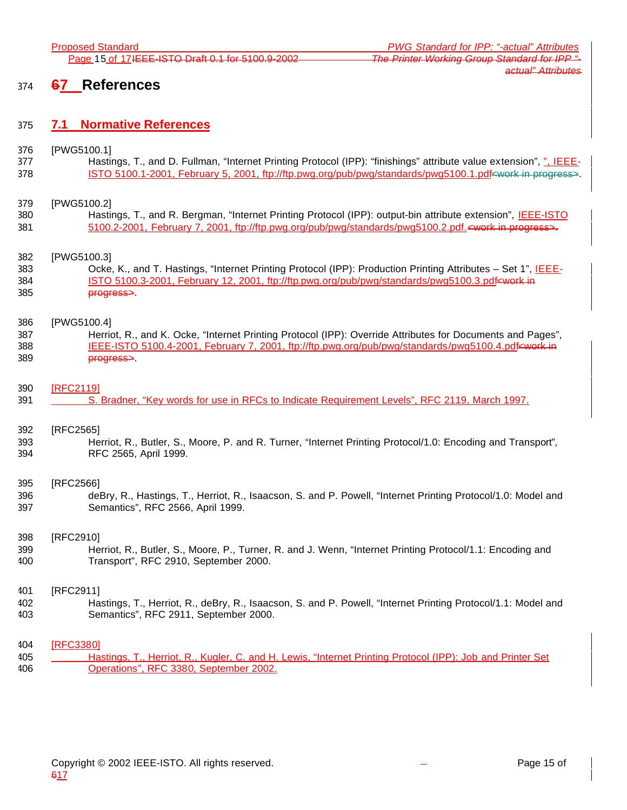Page 15 of 17IEEE-ISTO Draft 0.1 for 5100.9-2002 *The Printer Working Group Standard for IPP "-*

# **67 References**

## **7.1 Normative References**

[PWG5100.1]

377 Hastings, T., and D. Fullman, "Internet Printing Protocol (IPP): "finishings" attribute value extension", ", IEEE-378 ISTO 5100.1-2001, February 5, 2001, ftp://ftp.pwg.org/pub/pwg/standards/pwg5100.1.pdf<work in progress>.

[PWG5100.2]

380 Hastings, T., and R. Bergman, "Internet Printing Protocol (IPP): output-bin attribute extension", IEEE-ISTO 381 5100.2-2001, February 7, 2001, ftp://ftp.pwg.org/pub/pwg/standards/pwg5100.2.pdf.<work in progress>.

#### [PWG5100.3]

383 Ocke, K., and T. Hastings, "Internet Printing Protocol (IPP): Production Printing Attributes – Set 1", IEEE-384 ISTO 5100.3-2001, February 12, 2001, ftp://ftp.pwg.org/pub/pwg/standards/pwg5100.3.pdf<work in progress>.

#### [PWG5100.4]

 Herriot, R., and K. Ocke, "Internet Printing Protocol (IPP): Override Attributes for Documents and Pages", IEEE-ISTO 5100.4-2001, February 7, 2001, ftp://ftp.pwg.org/pub/pwg/standards/pwg5100.4.pdf<work in progress>.

#### **IRFC21191**

391 S. Bradner, "Key words for use in RFCs to Indicate Requirement Levels", RFC 2119, March 1997.

#### [RFC2565]

 Herriot, R., Butler, S., Moore, P. and R. Turner, "Internet Printing Protocol/1.0: Encoding and Transport", RFC 2565, April 1999.

#### [RFC2566]

 deBry, R., Hastings, T., Herriot, R., Isaacson, S. and P. Powell, "Internet Printing Protocol/1.0: Model and Semantics", RFC 2566, April 1999.

#### [RFC2910]

 Herriot, R., Butler, S., Moore, P., Turner, R. and J. Wenn, "Internet Printing Protocol/1.1: Encoding and Transport", RFC 2910, September 2000.

#### [RFC2911]

 Hastings, T., Herriot, R., deBry, R., Isaacson, S. and P. Powell, "Internet Printing Protocol/1.1: Model and Semantics", RFC 2911, September 2000.

#### [RFC3380]

**Hastings, T., Herriot, R., Kugler, C. and H. Lewis, "Internet Printing Protocol (IPP): Job and Printer Set** Operations", RFC 3380, September 2002.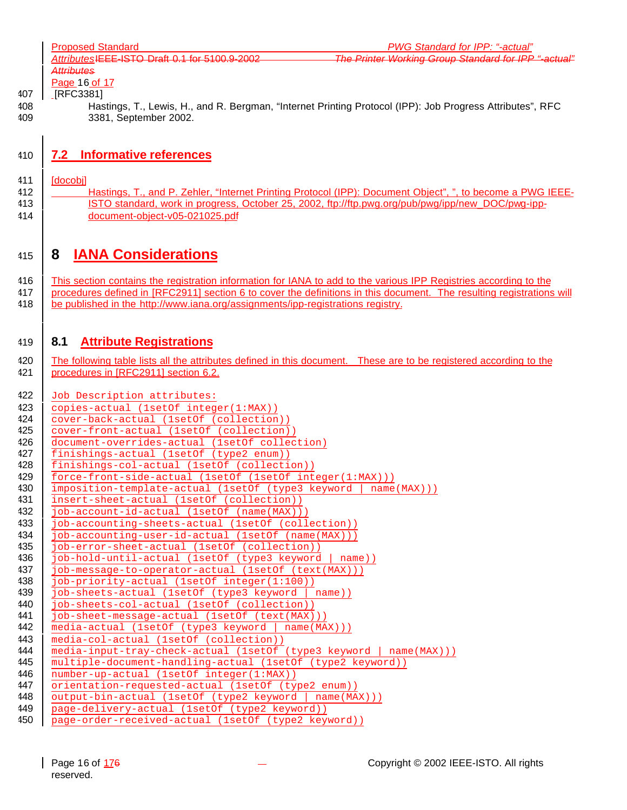| <b>Proposed Standard</b>                      | PWG Standard for IPP: "-actual"                      |
|-----------------------------------------------|------------------------------------------------------|
| AttributesIEEE-ISTO Draft 0.1 for 5100.9-2002 | The Printer Working Group Standard for IPP "-actual" |
| <u>Attributes</u>                             |                                                      |
| Page 16 of 17                                 |                                                      |
| [RFC3381]                                     |                                                      |

408 Hastings, T., Lewis, H., and R. Bergman, "Internet Printing Protocol (IPP): Job Progress Attributes", RFC 409 3381, September 2002.

# 410 **7.2 Informative references**

411 [docobj]

407

412 Hastings, T., and P. Zehler, "Internet Printing Protocol (IPP): Document Object", ", to become a PWG IEEE-413 ISTO standard, work in progress, October 25, 2002, ftp://ftp.pwg.org/pub/pwg/ipp/new\_DOC/pwg-ipp-414 document-object-v05-021025.pdf

# <sup>415</sup> **8 IANA Considerations**

416 This section contains the registration information for IANA to add to the various IPP Registries according to the 417 procedures defined in [RFC2911] section 6 to cover the definitions in this document. The resulting registrations will 418 be published in the http://www.iana.org/assignments/ipp-registrations registry.

# 419 **8.1 Attribute Registrations**

420 The following table lists all the attributes defined in this document. These are to be registered according to the

421 procedures in [RFC2911] section 6.2. 422 Job Description attributes: 423 copies-actual (1setOf integer(1:MAX)) 424 cover-back-actual (1setOf (collection))<br>425 cover-front-actual (1setOf (collection) cover-front-actual (1setOf (collection)) 426 document-overrides-actual (1setOf collection) 427 finishings-actual (1setOf (type2 enum)) 428 finishings-col-actual (1setOf (collection)) 429 | force-front-side-actual (1setOf (1setOf integer(1:MAX)))<br>430 | imposition-template-actual (1setOf (type3 keyword | name 430 | imposition-template-actual (1setOf (type3 keyword | name(MAX)))<br>431 | insert-sheet-actual (1setOf (collection)) 431  $\frac{1}{1}$  insert-sheet-actual (1set of (collection))<br>432  $\frac{1}{10}$  iob-account-id-actual (1set of (name (MAX)) job-account-id-actual (1setOf (name(MAX))) 433 job-accounting-sheets-actual (1setOf (collection))<br>434 iob-accounting-user-id-actual (1setOf (name(MAX))) 434 job-accounting-user-id-actual (1setOf (name(MAX)))<br>435 iob-error-sheet-actual (1setOf (collection)) 435 job-error-sheet-actual (1setOf (collection))<br>436 job-hold-until-actual (1setOf (type3 keyword 436 job-hold-until-actual (1setOf (type3 keyword | name)) 437 job-message-to-operator-actual (1setOf (text(MAX))) 438 job-priority-actual (1setOf integer(1:100))<br>439 iob-sheets-actual (1setOf (type3 keyword | job-sheets-actual (1setOf (type3 keyword | name)) 440 job-sheets-col-actual (1setOf (collection)) 441 job-sheet-message-actual (1setOf (text(MAX))) 442 media-actual (1setOf (type3 keyword | name(MAX))) 443 media-col-actual (1setOf (collection)) 444 media-input-tray-check-actual (1setOf (type3 keyword | name(MAX))) 445 | multiple-document-handling-actual (1setOf (type2 keyword))<br>446 | number-up-actual (1setOf integer(1:MAX)) 446 number-up-actual (1setOf integer(1:MAX))<br>447 orientation-requested-actual (1setOf (tv 447 orientation-requested-actual (1setOf (type2 enum))<br>448 output-bin-actual (1setOf (type2 keyword | name(MA 448 output-bin-actual (1setOf (type2 keyword  $|$  name(MAX)))<br>449 page-delivery-actual (1setOf (type2 keyword)) 449 page-delivery-actual (1setOf (type2 keyword))<br>450 page-order-received-actual (1setOf (type2 key page-order-received-actual (1setOf (type2 keyword))